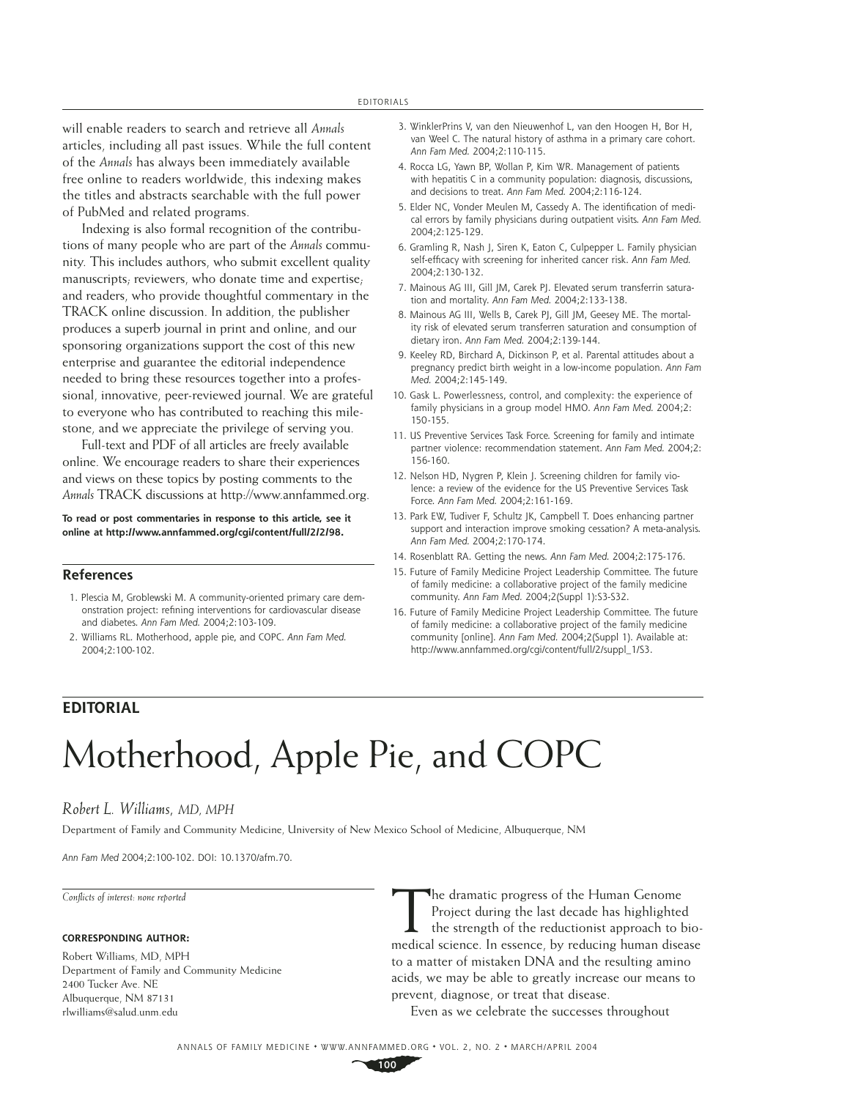will enable readers to search and retrieve all *Annals*  articles, including all past issues. While the full content of the *Annals* has always been immediately available free online to readers worldwide, this indexing makes the titles and abstracts searchable with the full power of PubMed and related programs.

Indexing is also formal recognition of the contributions of many people who are part of the *Annals* community. This includes authors, who submit excellent quality manuscripts; reviewers, who donate time and expertise; and readers, who provide thoughtful commentary in the TRACK online discussion. In addition, the publisher produces a superb journal in print and online, and our sponsoring organizations support the cost of this new enterprise and guarantee the editorial independence needed to bring these resources together into a professional, innovative, peer-reviewed journal. We are grateful to everyone who has contributed to reaching this milestone, and we appreciate the privilege of serving you.

Full-text and PDF of all articles are freely available online. We encourage readers to share their experiences and views on these topics by posting comments to the *Annals* TRACK discussions at http://www.annfammed.org.

**To read or post commentaries in response to this article, see it online at http://www.annfammed.org/cgi/content/full/2/2/98.**

### **References**

- 1. Plescia M, Groblewski M. A community-oriented primary care demonstration project: refining interventions for cardiovascular disease and diabetes. *Ann Fam Med.* 2004;2:103-109.
- 2. Williams RL. Motherhood, apple pie, and COPC. *Ann Fam Med.* 2004;2:100-102.
- 3. WinklerPrins V, van den Nieuwenhof L, van den Hoogen H, Bor H, van Weel C. The natural history of asthma in a primary care cohort. *Ann Fam Med.* 2004;2:110-115.
- 4. Rocca LG, Yawn BP, Wollan P, Kim WR. Management of patients with hepatitis C in a community population: diagnosis, discussions, and decisions to treat. *Ann Fam Med.* 2004;2:116-124.
- 5. Elder NC, Vonder Meulen M, Cassedy A, The identification of medical errors by family physicians during outpatient visits. *Ann Fam Med.* 2004;2:125-129.
- 6. Gramling R, Nash J, Siren K, Eaton C, Culpepper L. Family physician self-efficacy with screening for inherited cancer risk. Ann Fam Med. 2004;2:130-132.
- 7. Mainous AG III, Gill JM, Carek PJ. Elevated serum transferrin saturation and mortality. *Ann Fam Med.* 2004;2:133-138.
- 8. Mainous AG III, Wells B, Carek PJ, Gill JM, Geesey ME. The mortality risk of elevated serum transferren saturation and consumption of dietary iron. *Ann Fam Med.* 2004;2:139-144.
- 9. Keeley RD, Birchard A, Dickinson P, et al. Parental attitudes about a pregnancy predict birth weight in a low-income population. *Ann Fam Med.* 2004;2:145-149.
- 10. Gask L. Powerlessness, control, and complexity: the experience of family physicians in a group model HMO. *Ann Fam Med.* 2004;2: 150-155.
- 11. US Preventive Services Task Force. Screening for family and intimate partner violence: recommendation statement. *Ann Fam Med.* 2004;2: 156-160.
- 12. Nelson HD, Nygren P, Klein J. Screening children for family violence: a review of the evidence for the US Preventive Services Task Force. *Ann Fam Med.* 2004;2:161-169.
- 13. Park EW, Tudiver F, Schultz JK, Campbell T. Does enhancing partner support and interaction improve smoking cessation? A meta-analysis. *Ann Fam Med.* 2004;2:170-174.
- 14. Rosenblatt RA. Getting the news. *Ann Fam Med.* 2004;2:175-176.
- 15. Future of Family Medicine Project Leadership Committee. The future of family medicine: a collaborative project of the family medicine community. *Ann Fam Med.* 2004;2(Suppl 1):S3-S32.
- 16. Future of Family Medicine Project Leadership Committee. The future of family medicine: a collaborative project of the family medicine community [online]. *Ann Fam Med.* 2004;2(Suppl 1). Available at: http://www.annfammed.org/cgi/content/full/2/suppl\_1/S3.

## **EDITORIAL**

# Motherhood, Apple Pie, and COPC

## *Robert L. Williams, MD, MPH*

Department of Family and Community Medicine, University of New Mexico School of Medicine, Albuquerque, NM

*Ann Fam Med* 2004;2:100-102. DOI: 10.1370/afm.70.

*Confl icts of interest: none reported*

### **CORRESPONDING AUTHOR:**

Robert Williams, MD, MPH Department of Family and Community Medicine 2400 Tucker Ave. NE Albuquerque, NM 87131 rlwilliams@salud.unm.edu

The dramatic progress of the Human Genome<br>
Project during the last decade has highlighted<br>
the strength of the reductionist approach to bio-<br>
medical science. In essence, by reducing human disease Project during the last decade has highlighted medical science. In essence, by reducing human disease to a matter of mistaken DNA and the resulting amino acids, we may be able to greatly increase our means to prevent, diagnose, or treat that disease.

Even as we celebrate the successes throughout

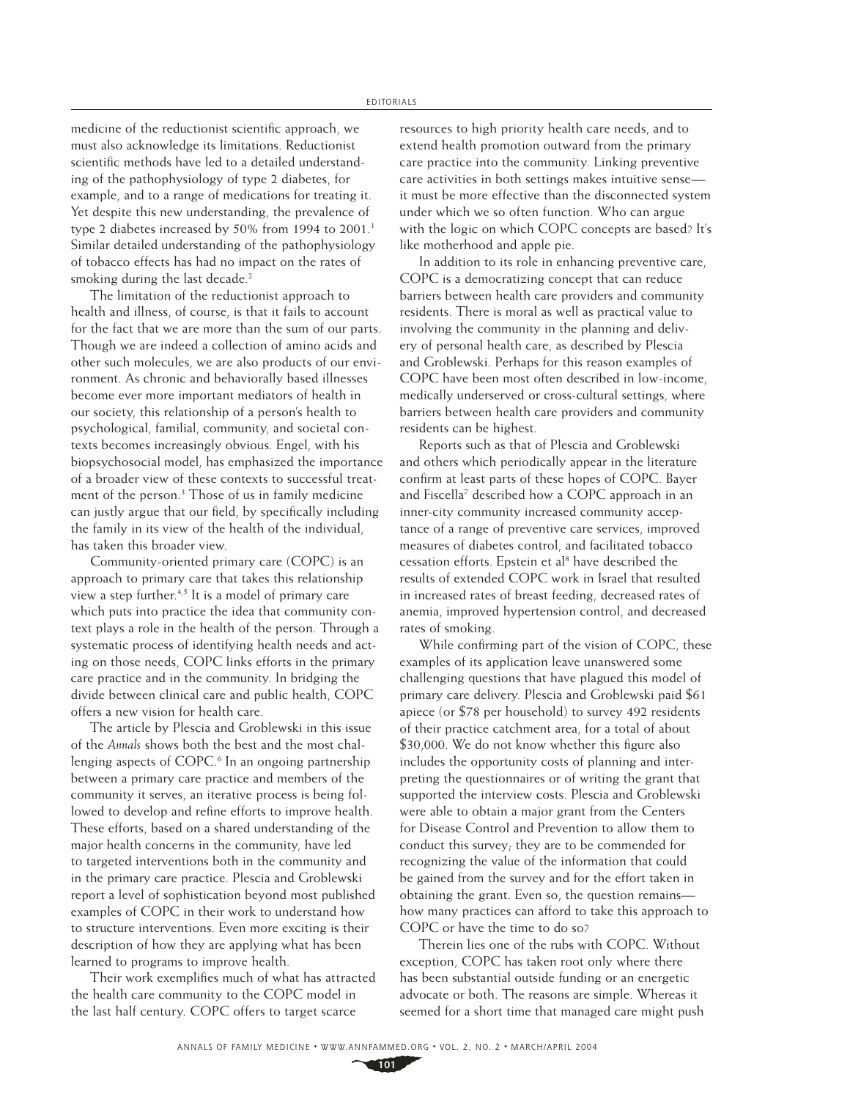medicine of the reductionist scientific approach, we must also acknowledge its limitations. Reductionist scientific methods have led to a detailed understanding of the pathophysiology of type 2 diabetes, for example, and to a range of medications for treating it. Yet despite this new understanding, the prevalence of type 2 diabetes increased by 50% from 1994 to 2001.<sup>1</sup> Similar detailed understanding of the pathophysiology of tobacco effects has had no impact on the rates of smoking during the last decade.<sup>2</sup>

The limitation of the reductionist approach to health and illness, of course, is that it fails to account for the fact that we are more than the sum of our parts. Though we are indeed a collection of amino acids and other such molecules, we are also products of our environment. As chronic and behaviorally based illnesses become ever more important mediators of health in our society, this relationship of a person's health to psychological, familial, community, and societal contexts becomes increasingly obvious. Engel, with his biopsychosocial model, has emphasized the importance of a broader view of these contexts to successful treatment of the person.3 Those of us in family medicine can justly argue that our field, by specifically including the family in its view of the health of the individual, has taken this broader view.

Community-oriented primary care (COPC) is an approach to primary care that takes this relationship view a step further.<sup>4,5</sup> It is a model of primary care which puts into practice the idea that community context plays a role in the health of the person. Through a systematic process of identifying health needs and acting on those needs, COPC links efforts in the primary care practice and in the community. In bridging the divide between clinical care and public health, COPC offers a new vision for health care.

The article by Plescia and Groblewski in this issue of the *Annals* shows both the best and the most challenging aspects of COPC.<sup>6</sup> In an ongoing partnership between a primary care practice and members of the community it serves, an iterative process is being followed to develop and refine efforts to improve health. These efforts, based on a shared understanding of the major health concerns in the community, have led to targeted interventions both in the community and in the primary care practice. Plescia and Groblewski report a level of sophistication beyond most published examples of COPC in their work to understand how to structure interventions. Even more exciting is their description of how they are applying what has been learned to programs to improve health.

Their work exemplifies much of what has attracted the health care community to the COPC model in the last half century. COPC offers to target scarce

resources to high priority health care needs, and to extend health promotion outward from the primary care practice into the community. Linking preventive care activities in both settings makes intuitive sense it must be more effective than the disconnected system under which we so often function. Who can argue with the logic on which COPC concepts are based? It's like motherhood and apple pie.

In addition to its role in enhancing preventive care, COPC is a democratizing concept that can reduce barriers between health care providers and community residents. There is moral as well as practical value to involving the community in the planning and delivery of personal health care, as described by Plescia and Groblewski. Perhaps for this reason examples of COPC have been most often described in low-income, medically underserved or cross-cultural settings, where barriers between health care providers and community residents can be highest.

Reports such as that of Plescia and Groblewski and others which periodically appear in the literature confirm at least parts of these hopes of COPC. Bayer and Fiscella<sup>7</sup> described how a COPC approach in an inner-city community increased community acceptance of a range of preventive care services, improved measures of diabetes control, and facilitated tobacco cessation efforts. Epstein et al<sup>8</sup> have described the results of extended COPC work in Israel that resulted in increased rates of breast feeding, decreased rates of anemia, improved hypertension control, and decreased rates of smoking.

While confirming part of the vision of COPC, these examples of its application leave unanswered some challenging questions that have plagued this model of primary care delivery. Plescia and Groblewski paid \$61 apiece (or \$78 per household) to survey 492 residents of their practice catchment area, for a total of about  $$30,000$ . We do not know whether this figure also includes the opportunity costs of planning and interpreting the questionnaires or of writing the grant that supported the interview costs. Plescia and Groblewski were able to obtain a major grant from the Centers for Disease Control and Prevention to allow them to conduct this survey; they are to be commended for recognizing the value of the information that could be gained from the survey and for the effort taken in obtaining the grant. Even so, the question remains how many practices can afford to take this approach to COPC or have the time to do so?

Therein lies one of the rubs with COPC. Without exception, COPC has taken root only where there has been substantial outside funding or an energetic advocate or both. The reasons are simple. Whereas it seemed for a short time that managed care might push